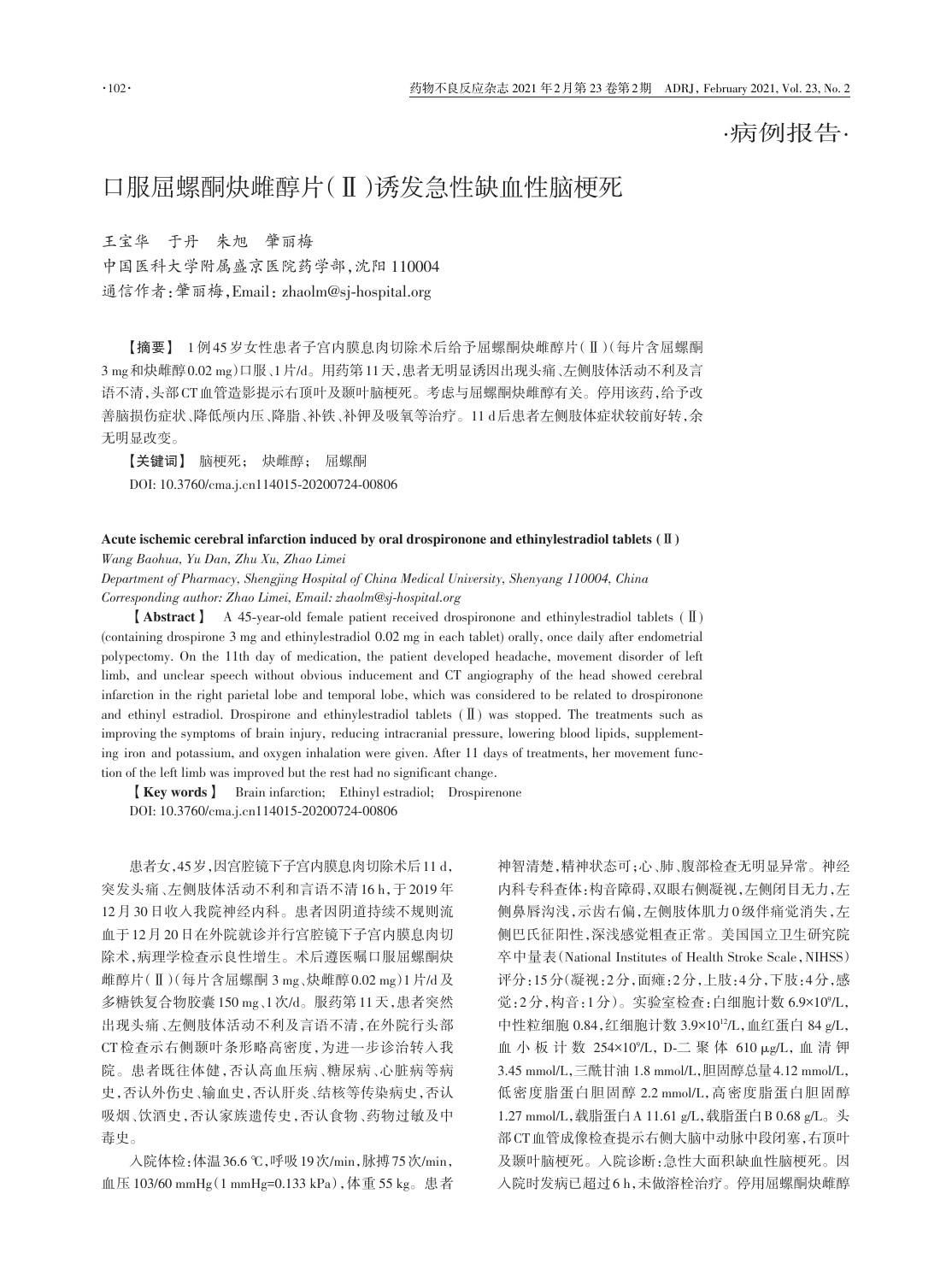·病例报告·

## 口服屈螺酮炔雌醇片(Ⅱ)诱发急性缺血性脑梗死

王宝华 于丹 朱旭 肇丽梅 中国医科大学附属盛京医院药学部,沈阳 110004 通信作者: 肇丽梅, Email: zhaolm@sj-hospital.org

【摘要】 1 例 45 岁女性患者子宫内膜息肉切除术后给予屈螺酮炔雌醇片(Ⅱ)(每片含屈螺酮 3 mg和炔雌醇0.02 mg)口服、1片/d。用药第11天,患者无明显诱因出现头痛、左侧肢体活动不利及言 语不清,头部CT血管造影提示右顶叶及颞叶脑梗死。考虑与屈螺酮炔雌醇有关。停用该药,给予改 善脑损伤症状、降低颅内压、降脂、补铁、补钾及吸氧等治疗。11 d后患者左侧肢体症状较前好转,余 无明显改变。

【关键词】 脑梗死; 炔雌醇; 屈螺酮 DOI: 10.3760/cma.j.cn114015‑20200724‑00806

## Acute ischemic cerebral infarction induced by oral drospironone and ethinylestradiol tablets (Ⅱ)

*Wang Baohua, Yu Dan, Zhu Xu, Zhao Limei*

*Department of Pharmacy, Shengjing Hospital of China Medical University, Shenyang 110004, China Corresponding author: Zhao Limei, Email: zhaolm@sj‑hospital.org*

【Abstract】 A 45‑year‑old female patient received drospironone and ethinylestradiol tablets (Ⅱ) (containing drospirone 3 mg and ethinylestradiol 0.02 mg in each tablet) orally, once daily after endometrial polypectomy. On the 11th day of medication, the patient developed headache, movement disorder of left limb, and unclear speech without obvious inducement and CT angiography of the head showed cerebral infarction in the right parietal lobe and temporal lobe, which was considered to be related to drospironone and ethinyl estradiol. Drospirone and ethinylestradiol tablets (Ⅱ) was stopped. The treatments such as improving the symptoms of brain injury, reducing intracranial pressure, lowering blood lipids, supplementing iron and potassium, and oxygen inhalation were given. After 11 days of treatments, her movement function of the left limb was improved but the rest had no significant change.

【Key words】 Brain infarction; Ethinyl estradiol; Drospirenone DOI: 10.3760/cma.j.cn114015‑20200724‑00806

患者女,45岁,因宫腔镜下子宫内膜息肉切除术后11 d, 突发头痛、左侧肢体活动不利和言语不清 16 h,于 2019 年 12月30日收入我院神经内科。患者因阴道持续不规则流 血于12月20日在外院就诊并行宫腔镜下子宫内膜息肉切 除术,病理学检查示良性增生。术后遵医嘱口服屈螺酮炔 雌醇片(Ⅱ)(每片含屈螺酮 3 mg、炔雌醇0.02 mg)1片/d及 多糖铁复合物胶囊150 mg、1次/d。服药第11天,患者突然 出现头痛、左侧肢体活动不利及言语不清,在外院行头部 CT 检查示右侧颞叶条形略高密度,为进一步诊治转入我 院。患者既往体健,否认高血压病、糖尿病、心脏病等病 史,否认外伤史、输血史,否认肝炎、结核等传染病史,否认 吸烟、饮酒史,否认家族遗传史,否认食物、药物过敏及中 毒史。

入院体检:体温36.6 ℃,呼吸19次/min,脉搏75次/min, 血压 103/60 mmHg(1 mmHg=0.133 kPa),体重 55 kg。患者 神智清楚,精神状态可;心、肺、腹部检查无明显异常。神经 内科专科查体:构音障碍,双眼右侧凝视,左侧闭目无力,左 侧鼻唇沟浅,示齿右偏,左侧肢体肌力0级伴痛觉消失,左 侧巴氏征阳性,深浅感觉粗查正常。美国国立卫生研究院 卒中量表(National Institutes of Health Stroke Scale,NIHSS) 评分:15分(凝视:2分,面瘫:2分,上肢:4分,下肢:4分,感 觉:2分,构音:1分)。实验室检查:白细胞计数 6.9×10°/L, 中性粒细胞 0.84,红细胞计数 3.9×10<sup>12</sup>/L,血红蛋白 84 g/L, 血 小 板 计 数 254×10°/L, D-二 聚 体 610 μg/L, 血 清 钾 3.45 mmol/L,三酰甘油 1.8 mmol/L,胆固醇总量4.12 mmol/L, 低密度脂蛋白胆固醇 2.2 mmol/L,高密度脂蛋白胆固醇 1.27 mmol/L,载脂蛋白A 11.61 g/L,载脂蛋白B 0.68 g/L。头 部CT血管成像检查提示右侧大脑中动脉中段闭塞,右顶叶 及颞叶脑梗死。入院诊断:急性大面积缺血性脑梗死。因 入院时发病已超过6 h,未做溶栓治疗。停用屈螺酮炔雌醇